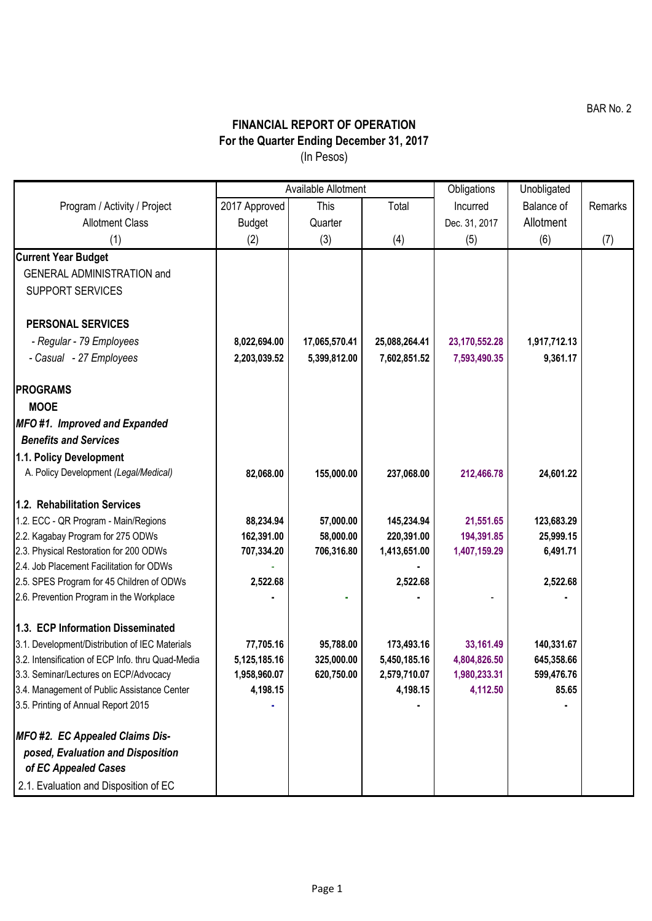BAR No. 2

## **FINANCIAL REPORT OF OPERATION For the Quarter Ending December 31, 2017** (In Pesos)

|                                                                                       | Available Allotment |               |               | Obligations   | Unobligated  |         |
|---------------------------------------------------------------------------------------|---------------------|---------------|---------------|---------------|--------------|---------|
| Program / Activity / Project                                                          | 2017 Approved       | This          | Total         | Incurred      | Balance of   | Remarks |
| <b>Allotment Class</b>                                                                | <b>Budget</b>       | Quarter       |               | Dec. 31, 2017 | Allotment    |         |
| (1)                                                                                   | (2)                 | (3)           | (4)           | (5)           | (6)          | (7)     |
| <b>Current Year Budget</b>                                                            |                     |               |               |               |              |         |
| <b>GENERAL ADMINISTRATION and</b>                                                     |                     |               |               |               |              |         |
| <b>SUPPORT SERVICES</b>                                                               |                     |               |               |               |              |         |
|                                                                                       |                     |               |               |               |              |         |
| <b>PERSONAL SERVICES</b>                                                              |                     |               |               |               |              |         |
| - Regular - 79 Employees                                                              | 8,022,694.00        | 17,065,570.41 | 25,088,264.41 | 23,170,552.28 | 1,917,712.13 |         |
| - Casual - 27 Employees                                                               | 2,203,039.52        | 5,399,812.00  | 7,602,851.52  | 7,593,490.35  | 9,361.17     |         |
|                                                                                       |                     |               |               |               |              |         |
| <b>PROGRAMS</b>                                                                       |                     |               |               |               |              |         |
| <b>MOOE</b>                                                                           |                     |               |               |               |              |         |
| MFO#1. Improved and Expanded                                                          |                     |               |               |               |              |         |
| <b>Benefits and Services</b>                                                          |                     |               |               |               |              |         |
| 1.1. Policy Development                                                               |                     |               |               |               |              |         |
| A. Policy Development (Legal/Medical)                                                 | 82,068.00           | 155,000.00    | 237,068.00    | 212,466.78    | 24,601.22    |         |
|                                                                                       |                     |               |               |               |              |         |
| 1.2. Rehabilitation Services                                                          |                     |               |               |               |              |         |
| 1.2. ECC - QR Program - Main/Regions                                                  | 88,234.94           | 57,000.00     | 145,234.94    | 21,551.65     | 123,683.29   |         |
| 2.2. Kagabay Program for 275 ODWs                                                     | 162,391.00          | 58,000.00     | 220,391.00    | 194,391.85    | 25,999.15    |         |
| 2.3. Physical Restoration for 200 ODWs                                                | 707,334.20          | 706,316.80    | 1,413,651.00  | 1,407,159.29  | 6,491.71     |         |
| 2.4. Job Placement Facilitation for ODWs                                              |                     |               |               |               |              |         |
| 2.5. SPES Program for 45 Children of ODWs<br>2.6. Prevention Program in the Workplace | 2,522.68            |               | 2,522.68      |               | 2,522.68     |         |
|                                                                                       |                     |               |               |               |              |         |
| 1.3. ECP Information Disseminated                                                     |                     |               |               |               |              |         |
| 3.1. Development/Distribution of IEC Materials                                        | 77,705.16           | 95,788.00     | 173,493.16    | 33,161.49     | 140,331.67   |         |
| 3.2. Intensification of ECP Info. thru Quad-Media                                     | 5,125,185.16        | 325,000.00    | 5,450,185.16  | 4,804,826.50  | 645,358.66   |         |
| 3.3. Seminar/Lectures on ECP/Advocacy                                                 | 1,958,960.07        | 620,750.00    | 2,579,710.07  | 1,980,233.31  | 599,476.76   |         |
| 3.4. Management of Public Assistance Center                                           | 4,198.15            |               | 4,198.15      | 4,112.50      | 85.65        |         |
| 3.5. Printing of Annual Report 2015                                                   |                     |               |               |               |              |         |
|                                                                                       |                     |               |               |               |              |         |
| MFO #2. EC Appealed Claims Dis-                                                       |                     |               |               |               |              |         |
| posed, Evaluation and Disposition                                                     |                     |               |               |               |              |         |
| of EC Appealed Cases                                                                  |                     |               |               |               |              |         |
| 2.1. Evaluation and Disposition of EC                                                 |                     |               |               |               |              |         |